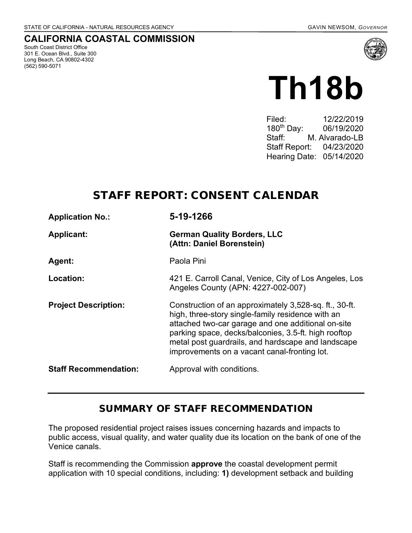#### **CALIFORNIA COASTAL COMMISSION**

South Coast District Office 301 E. Ocean Blvd., Suite 300 Long Beach, CA 90802-4302 (562) 590-5071



# **Th18b**

Filed: 12/22/2019 180th Day: 06/19/2020 Staff: M. Alvarado-LB Staff Report: 04/23/2020 Hearing Date: 05/14/2020

# STAFF REPORT: CONSENT CALENDAR

| <b>Application No.:</b>      | 5-19-1266                                                                                                                                                                                                                                                                                                                       |
|------------------------------|---------------------------------------------------------------------------------------------------------------------------------------------------------------------------------------------------------------------------------------------------------------------------------------------------------------------------------|
| <b>Applicant:</b>            | <b>German Quality Borders, LLC</b><br>(Attn: Daniel Borenstein)                                                                                                                                                                                                                                                                 |
| Agent:                       | Paola Pini                                                                                                                                                                                                                                                                                                                      |
| Location:                    | 421 E. Carroll Canal, Venice, City of Los Angeles, Los<br>Angeles County (APN: 4227-002-007)                                                                                                                                                                                                                                    |
| <b>Project Description:</b>  | Construction of an approximately 3,528-sq. ft., 30-ft.<br>high, three-story single-family residence with an<br>attached two-car garage and one additional on-site<br>parking space, decks/balconies, 3.5-ft. high rooftop<br>metal post guardrails, and hardscape and landscape<br>improvements on a vacant canal-fronting lot. |
| <b>Staff Recommendation:</b> | Approval with conditions.                                                                                                                                                                                                                                                                                                       |

#### SUMMARY OF STAFF RECOMMENDATION

The proposed residential project raises issues concerning hazards and impacts to public access, visual quality, and water quality due its location on the bank of one of the Venice canals.

Staff is recommending the Commission **approve** the coastal development permit application with 10 special conditions, including: **1)** development setback and building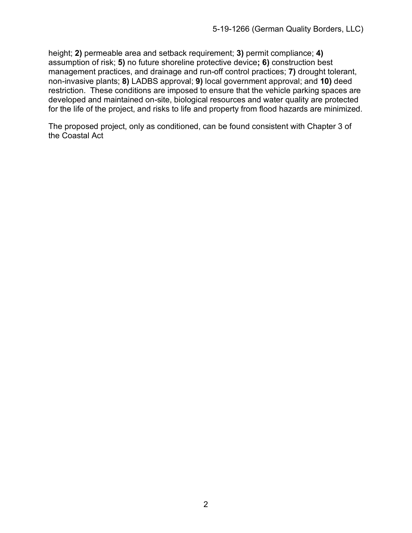height; **2)** permeable area and setback requirement; **3)** permit compliance; **4)**  assumption of risk; **5)** no future shoreline protective device**; 6)** construction best management practices, and drainage and run-off control practices; **7)** drought tolerant, non-invasive plants; **8)** LADBS approval; **9)** local government approval; and **10)** deed restriction. These conditions are imposed to ensure that the vehicle parking spaces are developed and maintained on-site, biological resources and water quality are protected for the life of the project, and risks to life and property from flood hazards are minimized.

The proposed project, only as conditioned, can be found consistent with Chapter 3 of the Coastal Act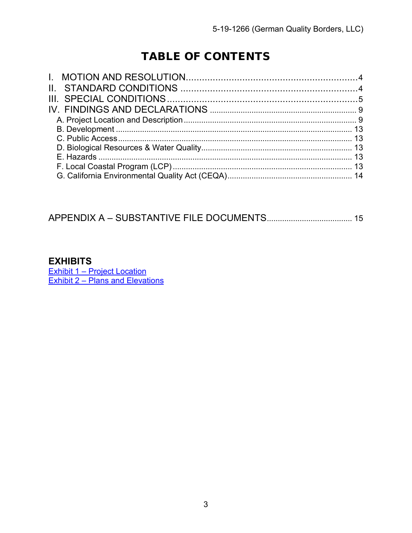# TABLE OF CONTENTS

## 

#### **EXHIBITS**

<u>Exhibit 1 – Project Location</u><br>Exhibit 2 – Plans and Elevations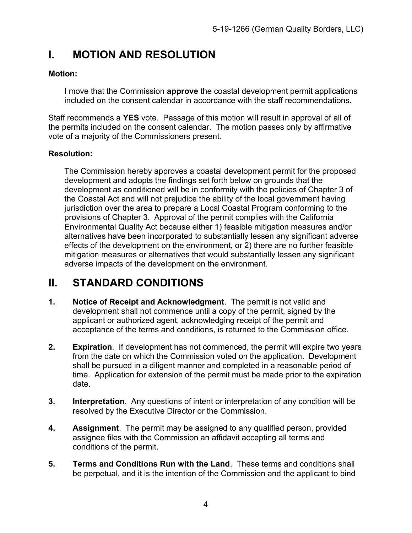# **I. MOTION AND RESOLUTION**

#### **Motion:**

I move that the Commission **approve** the coastal development permit applications included on the consent calendar in accordance with the staff recommendations.

Staff recommends a **YES** vote. Passage of this motion will result in approval of all of the permits included on the consent calendar. The motion passes only by affirmative vote of a majority of the Commissioners present.

#### **Resolution:**

The Commission hereby approves a coastal development permit for the proposed development and adopts the findings set forth below on grounds that the development as conditioned will be in conformity with the policies of Chapter 3 of the Coastal Act and will not prejudice the ability of the local government having jurisdiction over the area to prepare a Local Coastal Program conforming to the provisions of Chapter 3. Approval of the permit complies with the California Environmental Quality Act because either 1) feasible mitigation measures and/or alternatives have been incorporated to substantially lessen any significant adverse effects of the development on the environment, or 2) there are no further feasible mitigation measures or alternatives that would substantially lessen any significant adverse impacts of the development on the environment.

# **II. STANDARD CONDITIONS**

- **1. Notice of Receipt and Acknowledgment**. The permit is not valid and development shall not commence until a copy of the permit, signed by the applicant or authorized agent, acknowledging receipt of the permit and acceptance of the terms and conditions, is returned to the Commission office.
- **2. Expiration**. If development has not commenced, the permit will expire two years from the date on which the Commission voted on the application. Development shall be pursued in a diligent manner and completed in a reasonable period of time. Application for extension of the permit must be made prior to the expiration date.
- **3. Interpretation**. Any questions of intent or interpretation of any condition will be resolved by the Executive Director or the Commission.
- **4. Assignment**. The permit may be assigned to any qualified person, provided assignee files with the Commission an affidavit accepting all terms and conditions of the permit.
- **5. Terms and Conditions Run with the Land**. These terms and conditions shall be perpetual, and it is the intention of the Commission and the applicant to bind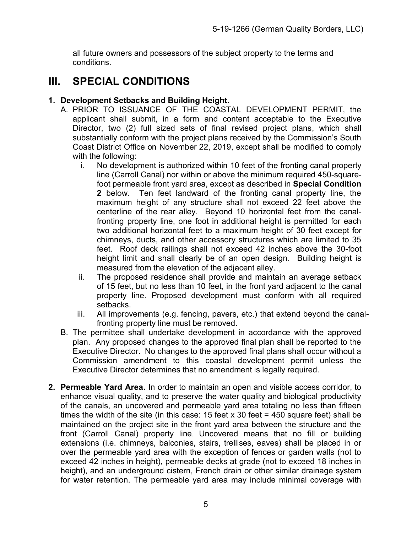all future owners and possessors of the subject property to the terms and conditions.

# **III. SPECIAL CONDITIONS**

#### **1. Development Setbacks and Building Height.**

- A. PRIOR TO ISSUANCE OF THE COASTAL DEVELOPMENT PERMIT, the applicant shall submit, in a form and content acceptable to the Executive Director, two (2) full sized sets of final revised project plans, which shall substantially conform with the project plans received by the Commission's South Coast District Office on November 22, 2019, except shall be modified to comply with the following:
	- i. No development is authorized within 10 feet of the fronting canal property line (Carroll Canal) nor within or above the minimum required 450-squarefoot permeable front yard area, except as described in **Special Condition 2** below. Ten feet landward of the fronting canal property line, the maximum height of any structure shall not exceed 22 feet above the centerline of the rear alley. Beyond 10 horizontal feet from the canalfronting property line, one foot in additional height is permitted for each two additional horizontal feet to a maximum height of 30 feet except for chimneys, ducts, and other accessory structures which are limited to 35 feet. Roof deck railings shall not exceed 42 inches above the 30-foot height limit and shall clearly be of an open design. Building height is measured from the elevation of the adjacent alley.
	- ii. The proposed residence shall provide and maintain an average setback of 15 feet, but no less than 10 feet, in the front yard adjacent to the canal property line. Proposed development must conform with all required setbacks.
	- iii. All improvements (e.g. fencing, pavers, etc.) that extend beyond the canalfronting property line must be removed.
- B. The permittee shall undertake development in accordance with the approved plan. Any proposed changes to the approved final plan shall be reported to the Executive Director. No changes to the approved final plans shall occur without a Commission amendment to this coastal development permit unless the Executive Director determines that no amendment is legally required.
- **2. Permeable Yard Area.** In order to maintain an open and visible access corridor, to enhance visual quality, and to preserve the water quality and biological productivity of the canals, an uncovered and permeable yard area totaling no less than fifteen times the width of the site (in this case: 15 feet  $x$  30 feet = 450 square feet) shall be maintained on the project site in the front yard area between the structure and the front (Carroll Canal) property line. Uncovered means that no fill or building extensions (i.e. chimneys, balconies, stairs, trellises, eaves) shall be placed in or over the permeable yard area with the exception of fences or garden walls (not to exceed 42 inches in height), permeable decks at grade (not to exceed 18 inches in height), and an underground cistern, French drain or other similar drainage system for water retention. The permeable yard area may include minimal coverage with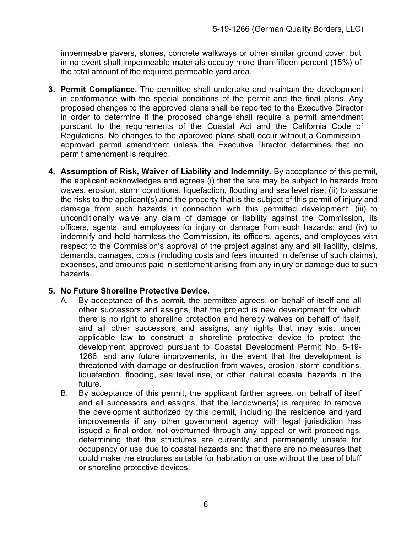impermeable pavers, stones, concrete walkways or other similar ground cover, but in no event shall impermeable materials occupy more than fifteen percent (15%) of the total amount of the required permeable yard area.

- **3. Permit Compliance.** The permittee shall undertake and maintain the development in conformance with the special conditions of the permit and the final plans. Any proposed changes to the approved plans shall be reported to the Executive Director in order to determine if the proposed change shall require a permit amendment pursuant to the requirements of the Coastal Act and the California Code of Regulations. No changes to the approved plans shall occur without a Commissionapproved permit amendment unless the Executive Director determines that no permit amendment is required.
- **4. Assumption of Risk, Waiver of Liability and Indemnity.** By acceptance of this permit, the applicant acknowledges and agrees (i) that the site may be subject to hazards from waves, erosion, storm conditions, liquefaction, flooding and sea level rise; (ii) to assume the risks to the applicant(s) and the property that is the subject of this permit of injury and damage from such hazards in connection with this permitted development; (iii) to unconditionally waive any claim of damage or liability against the Commission, its officers, agents, and employees for injury or damage from such hazards; and (iv) to indemnify and hold harmless the Commission, its officers, agents, and employees with respect to the Commission's approval of the project against any and all liability, claims, demands, damages, costs (including costs and fees incurred in defense of such claims), expenses, and amounts paid in settlement arising from any injury or damage due to such hazards.

#### **5. No Future Shoreline Protective Device.**

- A. By acceptance of this permit, the permittee agrees, on behalf of itself and all other successors and assigns, that the project is new development for which there is no right to shoreline protection and hereby waives on behalf of itself, and all other successors and assigns, any rights that may exist under applicable law to construct a shoreline protective device to protect the development approved pursuant to Coastal Development Permit No. 5-19- 1266, and any future improvements, in the event that the development is threatened with damage or destruction from waves, erosion, storm conditions, liquefaction, flooding, sea level rise, or other natural coastal hazards in the future.
- B. By acceptance of this permit, the applicant further agrees, on behalf of itself and all successors and assigns, that the landowner(s) is required to remove the development authorized by this permit, including the residence and yard improvements if any other government agency with legal jurisdiction has issued a final order, not overturned through any appeal or writ proceedings, determining that the structures are currently and permanently unsafe for occupancy or use due to coastal hazards and that there are no measures that could make the structures suitable for habitation or use without the use of bluff or shoreline protective devices.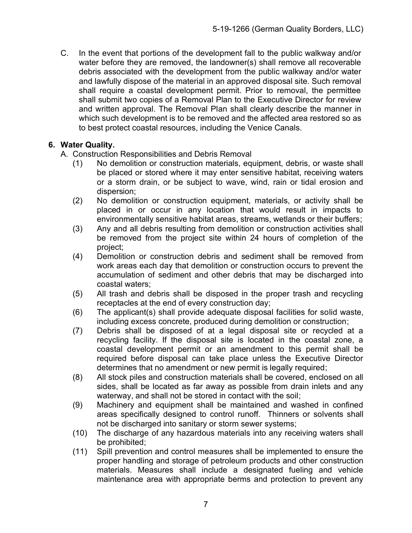C. In the event that portions of the development fall to the public walkway and/or water before they are removed, the landowner(s) shall remove all recoverable debris associated with the development from the public walkway and/or water and lawfully dispose of the material in an approved disposal site. Such removal shall require a coastal development permit. Prior to removal, the permittee shall submit two copies of a Removal Plan to the Executive Director for review and written approval. The Removal Plan shall clearly describe the manner in which such development is to be removed and the affected area restored so as to best protect coastal resources, including the Venice Canals.

#### **6. Water Quality.**

- A. Construction Responsibilities and Debris Removal
	- (1) No demolition or construction materials, equipment, debris, or waste shall be placed or stored where it may enter sensitive habitat, receiving waters or a storm drain, or be subject to wave, wind, rain or tidal erosion and dispersion;
	- (2) No demolition or construction equipment, materials, or activity shall be placed in or occur in any location that would result in impacts to environmentally sensitive habitat areas, streams, wetlands or their buffers;
	- (3) Any and all debris resulting from demolition or construction activities shall be removed from the project site within 24 hours of completion of the project;
	- (4) Demolition or construction debris and sediment shall be removed from work areas each day that demolition or construction occurs to prevent the accumulation of sediment and other debris that may be discharged into coastal waters;
	- (5) All trash and debris shall be disposed in the proper trash and recycling receptacles at the end of every construction day;
	- (6) The applicant(s) shall provide adequate disposal facilities for solid waste, including excess concrete, produced during demolition or construction;
	- (7) Debris shall be disposed of at a legal disposal site or recycled at a recycling facility. If the disposal site is located in the coastal zone, a coastal development permit or an amendment to this permit shall be required before disposal can take place unless the Executive Director determines that no amendment or new permit is legally required;
	- (8) All stock piles and construction materials shall be covered, enclosed on all sides, shall be located as far away as possible from drain inlets and any waterway, and shall not be stored in contact with the soil;
	- (9) Machinery and equipment shall be maintained and washed in confined areas specifically designed to control runoff. Thinners or solvents shall not be discharged into sanitary or storm sewer systems;
	- (10) The discharge of any hazardous materials into any receiving waters shall be prohibited;
	- (11) Spill prevention and control measures shall be implemented to ensure the proper handling and storage of petroleum products and other construction materials. Measures shall include a designated fueling and vehicle maintenance area with appropriate berms and protection to prevent any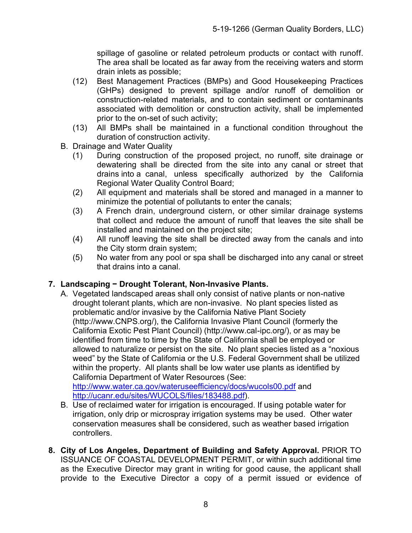spillage of gasoline or related petroleum products or contact with runoff. The area shall be located as far away from the receiving waters and storm drain inlets as possible;

- (12) Best Management Practices (BMPs) and Good Housekeeping Practices (GHPs) designed to prevent spillage and/or runoff of demolition or construction-related materials, and to contain sediment or contaminants associated with demolition or construction activity, shall be implemented prior to the on-set of such activity;
- (13) All BMPs shall be maintained in a functional condition throughout the duration of construction activity.
- B. Drainage and Water Quality
	- (1) During construction of the proposed project, no runoff, site drainage or dewatering shall be directed from the site into any canal or street that drains into a canal, unless specifically authorized by the California Regional Water Quality Control Board;
	- (2) All equipment and materials shall be stored and managed in a manner to minimize the potential of pollutants to enter the canals;
	- (3) A French drain, underground cistern, or other similar drainage systems that collect and reduce the amount of runoff that leaves the site shall be installed and maintained on the project site;
	- (4) All runoff leaving the site shall be directed away from the canals and into the City storm drain system;
	- (5) No water from any pool or spa shall be discharged into any canal or street that drains into a canal.

#### **7. Landscaping − Drought Tolerant, Non-Invasive Plants.**

A. Vegetated landscaped areas shall only consist of native plants or non-native drought tolerant plants, which are non-invasive. No plant species listed as problematic and/or invasive by the California Native Plant Society (http://www.CNPS.org/), the California Invasive Plant Council (formerly the California Exotic Pest Plant Council) (http://www.cal-ipc.org/), or as may be identified from time to time by the State of California shall be employed or allowed to naturalize or persist on the site. No plant species listed as a "noxious weed" by the State of California or the U.S. Federal Government shall be utilized within the property. All plants shall be low water use plants as identified by California Department of Water Resources (See:

<http://www.water.ca.gov/wateruseefficiency/docs/wucols00.pdf> and [http://ucanr.edu/sites/WUCOLS/files/183488.pdf\)](http://ucanr.edu/sites/WUCOLS/files/183488.pdf).

- B. Use of reclaimed water for irrigation is encouraged. If using potable water for irrigation, only drip or microspray irrigation systems may be used. Other water conservation measures shall be considered, such as weather based irrigation controllers.
- **8. City of Los Angeles, Department of Building and Safety Approval.** PRIOR TO ISSUANCE OF COASTAL DEVELOPMENT PERMIT, or within such additional time as the Executive Director may grant in writing for good cause, the applicant shall provide to the Executive Director a copy of a permit issued or evidence of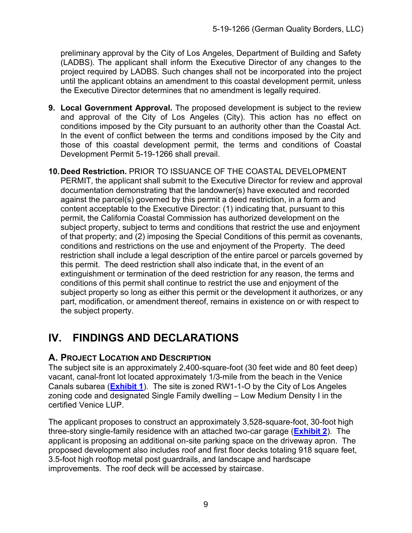preliminary approval by the City of Los Angeles, Department of Building and Safety (LADBS). The applicant shall inform the Executive Director of any changes to the project required by LADBS. Such changes shall not be incorporated into the project until the applicant obtains an amendment to this coastal development permit, unless the Executive Director determines that no amendment is legally required.

- **9. Local Government Approval.** The proposed development is subject to the review and approval of the City of Los Angeles (City). This action has no effect on conditions imposed by the City pursuant to an authority other than the Coastal Act. In the event of conflict between the terms and conditions imposed by the City and those of this coastal development permit, the terms and conditions of Coastal Development Permit 5-19-1266 shall prevail.
- **10.Deed Restriction.** PRIOR TO ISSUANCE OF THE COASTAL DEVELOPMENT PERMIT, the applicant shall submit to the Executive Director for review and approval documentation demonstrating that the landowner(s) have executed and recorded against the parcel(s) governed by this permit a deed restriction, in a form and content acceptable to the Executive Director: (1) indicating that, pursuant to this permit, the California Coastal Commission has authorized development on the subject property, subject to terms and conditions that restrict the use and enjoyment of that property; and (2) imposing the Special Conditions of this permit as covenants, conditions and restrictions on the use and enjoyment of the Property. The deed restriction shall include a legal description of the entire parcel or parcels governed by this permit. The deed restriction shall also indicate that, in the event of an extinguishment or termination of the deed restriction for any reason, the terms and conditions of this permit shall continue to restrict the use and enjoyment of the subject property so long as either this permit or the development it authorizes, or any part, modification, or amendment thereof, remains in existence on or with respect to the subject property.

# **IV. FINDINGS AND DECLARATIONS**

#### **A. PROJECT LOCATION AND DESCRIPTION**

The subject site is an approximately 2,400-square-foot (30 feet wide and 80 feet deep) vacant, canal-front lot located approximately 1/3-mile from the beach in the Venice Canals subarea (**[Exhibit 1](https://documents.coastal.ca.gov/reports/2020/5/Th18b/Th18b-5-2020-exhibits.pdf)**). The site is zoned RW1-1-O by the City of Los Angeles zoning code and designated Single Family dwelling – Low Medium Density I in the certified Venice LUP.

The applicant proposes to construct an approximately 3,528-square-foot, 30-foot high three-story single-family residence with an attached two-car garage (**[Exhibit 2](https://documents.coastal.ca.gov/reports/2020/5/Th18b/Th18b-5-2020-exhibits.pdf)**). The applicant is proposing an additional on-site parking space on the driveway apron. The proposed development also includes roof and first floor decks totaling 918 square feet, 3.5-foot high rooftop metal post guardrails, and landscape and hardscape improvements. The roof deck will be accessed by staircase.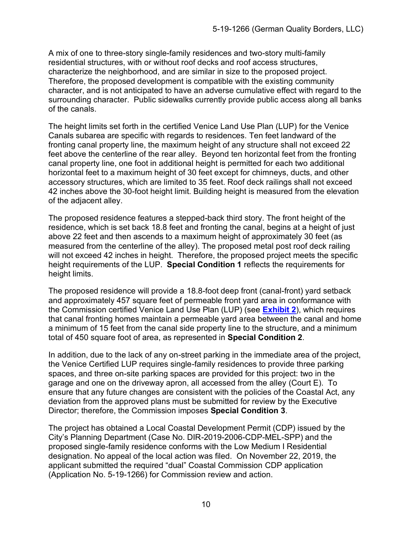A mix of one to three-story single-family residences and two-story multi-family residential structures, with or without roof decks and roof access structures, characterize the neighborhood, and are similar in size to the proposed project. Therefore, the proposed development is compatible with the existing community character, and is not anticipated to have an adverse cumulative effect with regard to the surrounding character. Public sidewalks currently provide public access along all banks of the canals.

The height limits set forth in the certified Venice Land Use Plan (LUP) for the Venice Canals subarea are specific with regards to residences. Ten feet landward of the fronting canal property line, the maximum height of any structure shall not exceed 22 feet above the centerline of the rear alley. Beyond ten horizontal feet from the fronting canal property line, one foot in additional height is permitted for each two additional horizontal feet to a maximum height of 30 feet except for chimneys, ducts, and other accessory structures, which are limited to 35 feet. Roof deck railings shall not exceed 42 inches above the 30-foot height limit. Building height is measured from the elevation of the adjacent alley.

The proposed residence features a stepped-back third story. The front height of the residence, which is set back 18.8 feet and fronting the canal, begins at a height of just above 22 feet and then ascends to a maximum height of approximately 30 feet (as measured from the centerline of the alley). The proposed metal post roof deck railing will not exceed 42 inches in height. Therefore, the proposed project meets the specific height requirements of the LUP. **Special Condition 1** reflects the requirements for height limits.

The proposed residence will provide a 18.8-foot deep front (canal-front) yard setback and approximately 457 square feet of permeable front yard area in conformance with the Commission certified Venice Land Use Plan (LUP) (see **[Exhibit 2](https://documents.coastal.ca.gov/reports/2020/5/Th18b/Th18b-5-2020-exhibits.pdf)**), which requires that canal fronting homes maintain a permeable yard area between the canal and home a minimum of 15 feet from the canal side property line to the structure, and a minimum total of 450 square foot of area, as represented in **Special Condition 2**.

In addition, due to the lack of any on-street parking in the immediate area of the project, the Venice Certified LUP requires single-family residences to provide three parking spaces, and three on-site parking spaces are provided for this project: two in the garage and one on the driveway apron, all accessed from the alley (Court E). To ensure that any future changes are consistent with the policies of the Coastal Act, any deviation from the approved plans must be submitted for review by the Executive Director; therefore, the Commission imposes **Special Condition 3**.

The project has obtained a Local Coastal Development Permit (CDP) issued by the City's Planning Department (Case No. DIR-2019-2006-CDP-MEL-SPP) and the proposed single-family residence conforms with the Low Medium I Residential designation. No appeal of the local action was filed. On November 22, 2019, the applicant submitted the required "dual" Coastal Commission CDP application (Application No. 5-19-1266) for Commission review and action.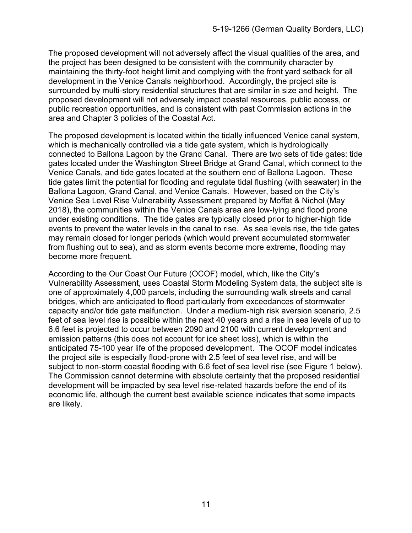The proposed development will not adversely affect the visual qualities of the area, and the project has been designed to be consistent with the community character by maintaining the thirty-foot height limit and complying with the front yard setback for all development in the Venice Canals neighborhood. Accordingly, the project site is surrounded by multi-story residential structures that are similar in size and height. The proposed development will not adversely impact coastal resources, public access, or public recreation opportunities, and is consistent with past Commission actions in the area and Chapter 3 policies of the Coastal Act.

The proposed development is located within the tidally influenced Venice canal system, which is mechanically controlled via a tide gate system, which is hydrologically connected to Ballona Lagoon by the Grand Canal. There are two sets of tide gates: tide gates located under the Washington Street Bridge at Grand Canal, which connect to the Venice Canals, and tide gates located at the southern end of Ballona Lagoon. These tide gates limit the potential for flooding and regulate tidal flushing (with seawater) in the Ballona Lagoon, Grand Canal, and Venice Canals. However, based on the City's Venice Sea Level Rise Vulnerability Assessment prepared by Moffat & Nichol (May 2018), the communities within the Venice Canals area are low-lying and flood prone under existing conditions. The tide gates are typically closed prior to higher-high tide events to prevent the water levels in the canal to rise. As sea levels rise, the tide gates may remain closed for longer periods (which would prevent accumulated stormwater from flushing out to sea), and as storm events become more extreme, flooding may become more frequent.

According to the Our Coast Our Future (OCOF) model, which, like the City's Vulnerability Assessment, uses Coastal Storm Modeling System data, the subject site is one of approximately 4,000 parcels, including the surrounding walk streets and canal bridges, which are anticipated to flood particularly from exceedances of stormwater capacity and/or tide gate malfunction. Under a medium-high risk aversion scenario, 2.5 feet of sea level rise is possible within the next 40 years and a rise in sea levels of up to 6.6 feet is projected to occur between 2090 and 2100 with current development and emission patterns (this does not account for ice sheet loss), which is within the anticipated 75-100 year life of the proposed development. The OCOF model indicates the project site is especially flood-prone with 2.5 feet of sea level rise, and will be subject to non-storm coastal flooding with 6.6 feet of sea level rise (see Figure 1 below). The Commission cannot determine with absolute certainty that the proposed residential development will be impacted by sea level rise-related hazards before the end of its economic life, although the current best available science indicates that some impacts are likely.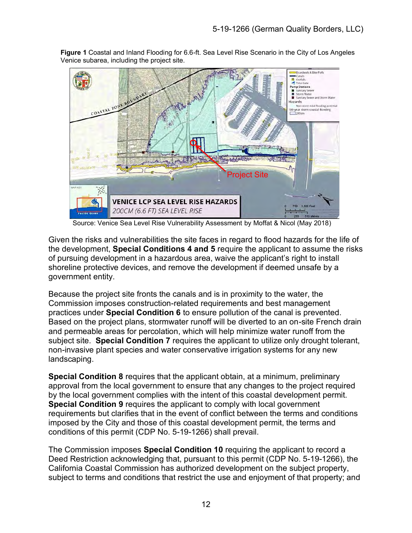

**Figure 1** Coastal and Inland Flooding for 6.6-ft. Sea Level Rise Scenario in the City of Los Angeles Venice subarea, including the project site.

Source: Venice Sea Level Rise Vulnerability Assessment by Moffat & Nicol (May 2018)

Given the risks and vulnerabilities the site faces in regard to flood hazards for the life of the development, **Special Conditions 4 and 5** require the applicant to assume the risks of pursuing development in a hazardous area, waive the applicant's right to install shoreline protective devices, and remove the development if deemed unsafe by a government entity.

Because the project site fronts the canals and is in proximity to the water, the Commission imposes construction-related requirements and best management practices under **Special Condition 6** to ensure pollution of the canal is prevented. Based on the project plans, stormwater runoff will be diverted to an on-site French drain and permeable areas for percolation, which will help minimize water runoff from the subject site. **Special Condition 7** requires the applicant to utilize only drought tolerant, non-invasive plant species and water conservative irrigation systems for any new landscaping.

**Special Condition 8** requires that the applicant obtain, at a minimum, preliminary approval from the local government to ensure that any changes to the project required by the local government complies with the intent of this coastal development permit. **Special Condition 9** requires the applicant to comply with local government requirements but clarifies that in the event of conflict between the terms and conditions imposed by the City and those of this coastal development permit, the terms and conditions of this permit (CDP No. 5-19-1266) shall prevail.

The Commission imposes **Special Condition 10** requiring the applicant to record a Deed Restriction acknowledging that, pursuant to this permit (CDP No. 5-19-1266), the California Coastal Commission has authorized development on the subject property, subject to terms and conditions that restrict the use and enjoyment of that property; and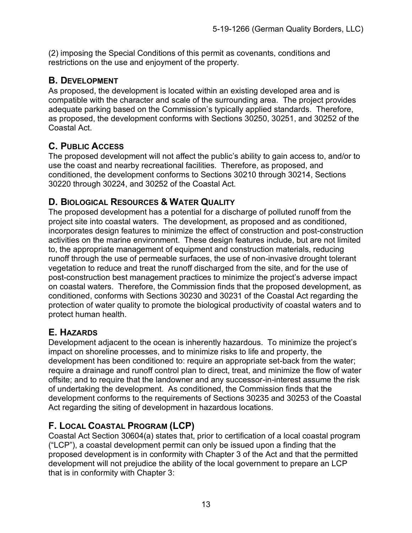(2) imposing the Special Conditions of this permit as covenants, conditions and restrictions on the use and enjoyment of the property.

### **B. DEVELOPMENT**

As proposed, the development is located within an existing developed area and is compatible with the character and scale of the surrounding area. The project provides adequate parking based on the Commission's typically applied standards. Therefore, as proposed, the development conforms with Sections 30250, 30251, and 30252 of the Coastal Act.

## **C. PUBLIC ACCESS**

The proposed development will not affect the public's ability to gain access to, and/or to use the coast and nearby recreational facilities. Therefore, as proposed, and conditioned, the development conforms to Sections 30210 through 30214, Sections 30220 through 30224, and 30252 of the Coastal Act.

## **D. BIOLOGICAL RESOURCES & WATER QUALITY**

The proposed development has a potential for a discharge of polluted runoff from the project site into coastal waters. The development, as proposed and as conditioned, incorporates design features to minimize the effect of construction and post-construction activities on the marine environment. These design features include, but are not limited to, the appropriate management of equipment and construction materials, reducing runoff through the use of permeable surfaces, the use of non-invasive drought tolerant vegetation to reduce and treat the runoff discharged from the site, and for the use of post-construction best management practices to minimize the project's adverse impact on coastal waters. Therefore, the Commission finds that the proposed development, as conditioned, conforms with Sections 30230 and 30231 of the Coastal Act regarding the protection of water quality to promote the biological productivity of coastal waters and to protect human health.

## **E. HAZARDS**

Development adjacent to the ocean is inherently hazardous. To minimize the project's impact on shoreline processes, and to minimize risks to life and property, the development has been conditioned to: require an appropriate set-back from the water; require a drainage and runoff control plan to direct, treat, and minimize the flow of water offsite; and to require that the landowner and any successor-in-interest assume the risk of undertaking the development. As conditioned, the Commission finds that the development conforms to the requirements of Sections 30235 and 30253 of the Coastal Act regarding the siting of development in hazardous locations.

## **F. LOCAL COASTAL PROGRAM (LCP)**

Coastal Act Section 30604(a) states that, prior to certification of a local coastal program ("LCP"), a coastal development permit can only be issued upon a finding that the proposed development is in conformity with Chapter 3 of the Act and that the permitted development will not prejudice the ability of the local government to prepare an LCP that is in conformity with Chapter 3: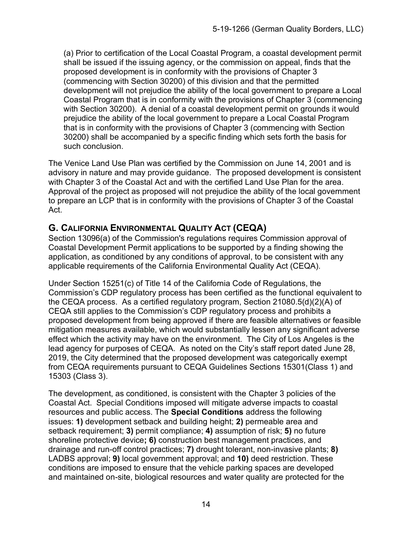(a) Prior to certification of the Local Coastal Program, a coastal development permit shall be issued if the issuing agency, or the commission on appeal, finds that the proposed development is in conformity with the provisions of Chapter 3 (commencing with Section 30200) of this division and that the permitted development will not prejudice the ability of the local government to prepare a Local Coastal Program that is in conformity with the provisions of Chapter 3 (commencing with Section 30200). A denial of a coastal development permit on grounds it would prejudice the ability of the local government to prepare a Local Coastal Program that is in conformity with the provisions of Chapter 3 (commencing with Section 30200) shall be accompanied by a specific finding which sets forth the basis for such conclusion.

The Venice Land Use Plan was certified by the Commission on June 14, 2001 and is advisory in nature and may provide guidance. The proposed development is consistent with Chapter 3 of the Coastal Act and with the certified Land Use Plan for the area. Approval of the project as proposed will not prejudice the ability of the local government to prepare an LCP that is in conformity with the provisions of Chapter 3 of the Coastal Act.

## **G. CALIFORNIA ENVIRONMENTAL QUALITY ACT (CEQA)**

Section 13096(a) of the Commission's regulations requires Commission approval of Coastal Development Permit applications to be supported by a finding showing the application, as conditioned by any conditions of approval, to be consistent with any applicable requirements of the California Environmental Quality Act (CEQA).

Under Section 15251(c) of Title 14 of the California Code of Regulations, the Commission's CDP regulatory process has been certified as the functional equivalent to the CEQA process. As a certified regulatory program, Section 21080.5(d)(2)(A) of CEQA still applies to the Commission's CDP regulatory process and prohibits a proposed development from being approved if there are feasible alternatives or feasible mitigation measures available, which would substantially lessen any significant adverse effect which the activity may have on the environment. The City of Los Angeles is the lead agency for purposes of CEQA. As noted on the City's staff report dated June 28, 2019, the City determined that the proposed development was categorically exempt from CEQA requirements pursuant to CEQA Guidelines Sections 15301(Class 1) and 15303 (Class 3).

The development, as conditioned, is consistent with the Chapter 3 policies of the Coastal Act. Special Conditions imposed will mitigate adverse impacts to coastal resources and public access. The **Special Conditions** address the following issues: **1)** development setback and building height; **2)** permeable area and setback requirement; **3)** permit compliance; **4)** assumption of risk; **5)** no future shoreline protective device**; 6)** construction best management practices, and drainage and run-off control practices; **7)** drought tolerant, non-invasive plants; **8)** LADBS approval; **9)** local government approval; and **10)** deed restriction. These conditions are imposed to ensure that the vehicle parking spaces are developed and maintained on-site, biological resources and water quality are protected for the